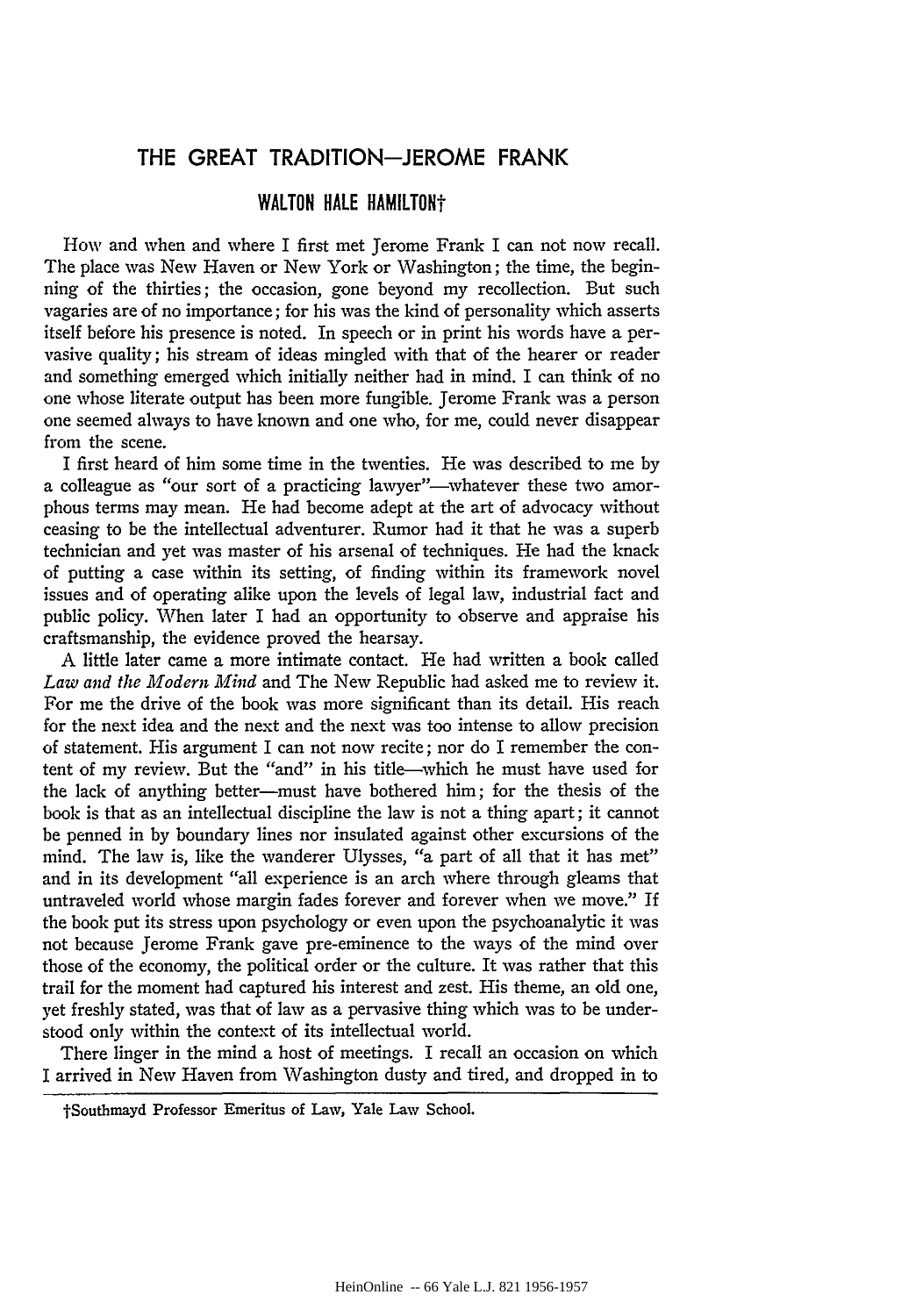## **THE GREAT TRADITION-JEROME FRANK**

## WALTON HALE HAMILTON<sup>+</sup>

How and when and where I first met Jerome Frank I can not now recall. The place was New Haven or New York or Washington; the time, the beginning of the thirties; the occasion, gone beyond my recollection. But such vagaries are of no importance; for his was the kind of personality which asserts itself before his presence is noted. In speech or in print his words have a pervasive quality; his stream of ideas mingled with that of the hearer or reader and something emerged which initially neither had in mind. I can think of no one whose literate output has been more fungible. Jerome Frank was a person one seemed always to have known and one who, for me, could never disappear from the scene.

I first heard of him some time in the twenties. He was described to me by a colleague as "our sort of a practicing lawyer"---whatever these two amorphous terms may mean. He had become adept at the art of advocacy without ceasing to be the intellectual adventurer. Rumor had it that he was a superb technician and yet was master of his arsenal of techniques. He had the knack of putting a case within its setting, of finding within its framework novel issues and of operating alike upon the levels of legal law, industrial fact and public policy. When later I had an opportunity to observe and appraise his craftsmanship, the evidence proved the hearsay.

A little later came a more intimate contact. He had written a book called *Law and the Modem Mind* and The New Republic had asked me to review it. For me the drive of the book was more significant than its detail. His reach for the next idea and the next and the next was too intense to allow precision of statement. His argument I can not now recite; nor do I remember the content of my review. But the "and" in his title-which he must have used for the lack of anything better-must have bothered him; for the thesis of the book is that as an intellectual discipline the law is not a thing apart; it cannot be penned in by boundary lines nor insulated against other excursions of the mind. The law is, like the wanderer Ulysses, "a part of all that it has met" and in its development "all experience is an arch where through gleams that untraveled world whose margin fades forever and forever when we move." If the book put its stress upon psychology or even upon the psychoanalytic it was not because Jerome Frank gave pre-eminence to the ways of the mind over those of the economy, the political order or the culture. It was rather that this trail for the moment had captured his interest and zest. His theme, an old one, yet freshly stated, was that of law as a pervasive thing which was to be understood only within the context of its intellectual world.

There linger in the mind a host of meetings. I recall an occasion on which I arrived in New Haven from \Vashington dusty and tired, and dropped in to

tSouthmayd Professor Emeritus of Law, Yale Law School.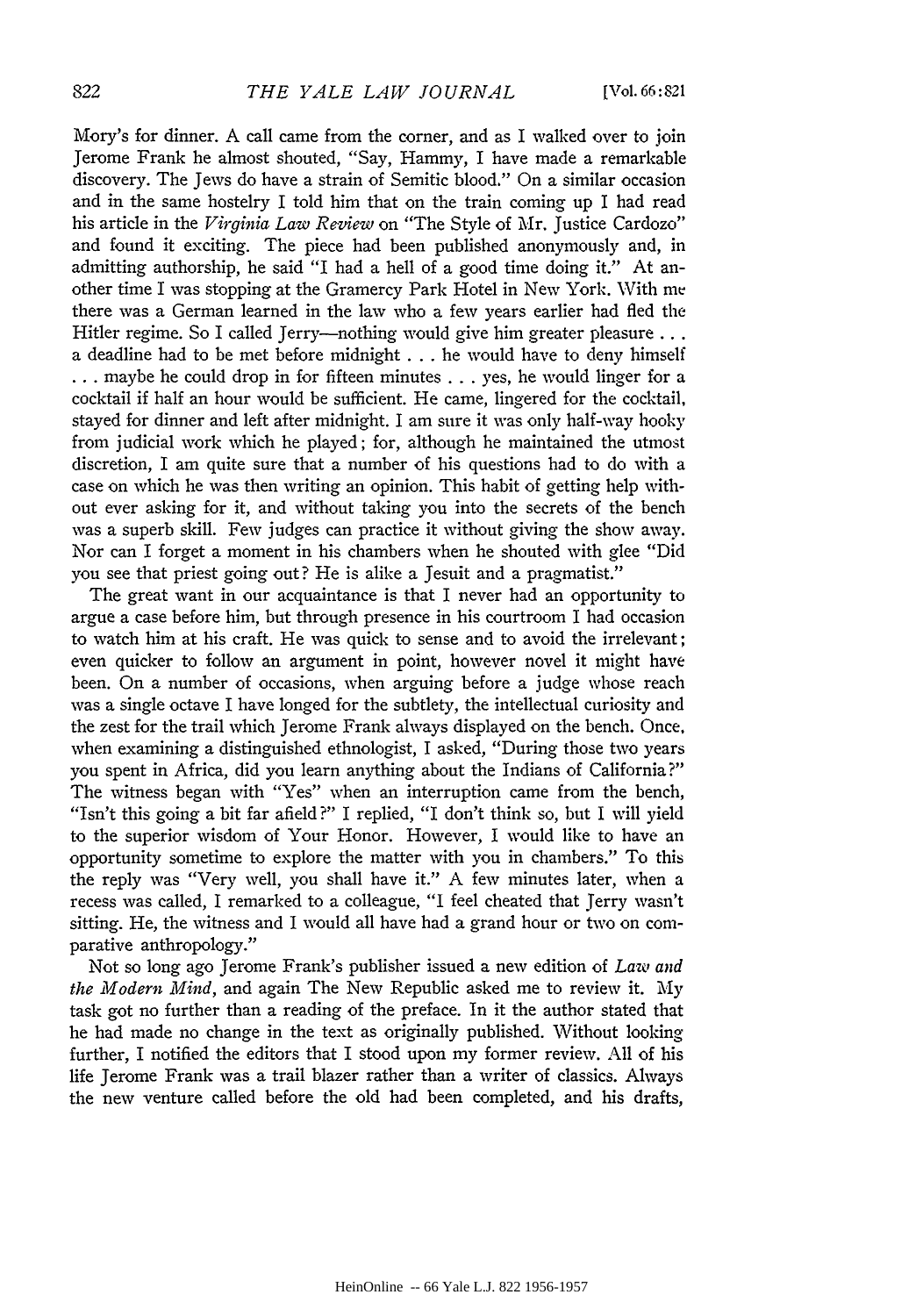Mory's for dinner. A call came from the corner, and as I walked over to join Jerome Frank he almost shouted, "Say, Hammy, I have made a remarkable discovery. The Jews do have a strain of Semitic blood." On a similar occasion and in the same hostelry I told him that on the train coming up I had read his article in the *Virginia Law Review* on "The Style of Mr. Justice Cardozo" and found it exciting. The piece had been published anonymously and, in admitting authorship, he said "I had a hell of a good time doing it." At another time I was stopping at the Gramercy Park Hotel in New York. With me there was a German learned in the law who a few years earlier had fled the Hitler regime. So I called Jerry---nothing would give him greater pleasure ... a deadline had to be met before midnight . . . he would have to deny himself ... maybe he could drop in for fifteen minutes ... yes, he would linger for a cocktail if half an hour would be sufficient. He came, lingered for the cocktail, stayed for dinner and left after midnight. I am sure it was only half-way hooky from judicial work which he played; for, although he maintained the utmost discretion, I am quite sure that a number of his questions had to do with a case on which he was then writing an opinion. This habit of getting help without ever asking for it, and without taking you into the secrets of the bench was a superb skill. Few judges can practice it without giving the show away. Nor can I forget a moment in his chambers when he shouted with glee "Did you see that priest going out? He is alike a Jesuit and a pragmatist."

The great want in our acquaintance is that I never had an opportunity to argue a case before him, but through presence in his courtroom I had occasion to watch him at his craft. He was quick to sense and to avoid the irrelevant ; even quicker to follow an argument in point, however novel it might have been. On a number of occasions, when arguing before a judge whose reach was a single octave I have longed for the subtlety, the intellectual curiosity and the zest for the trail which Jerome Frank always displayed on the bench. Once, when examining a distinguished ethnologist, I asked, "During those two years you spent in Africa, did you learn anything about the Indians of California?" The witness began with "Yes" when an interruption came from the bench, "Isn't this going a bit far afield?" I replied, "I don't think so, but I will yield to the superior wisdom of Your Honor. However, I would like to have an opportunity sometime to explore the matter with you in chambers." To this the reply was "Very well, you shall have it." A few minutes later, when a recess was called, I remarked to a colleague, "I feel cheated that Jerry wasn't sitting. He, the witness and I would all have had a grand hour or two on comparative anthropology."

Not so long ago Jerome Frank's publisher issued a new edition of *Law and the Modern Mind,* and again The New Republic asked me to review it. My task got no further than a reading of the preface. In it the author stated that he had made no change in the text as originally published. Without looking further, I notified the editors that I stood upon my former review. All of his life Jerome Frank was a trail blazer rather than a writer of classics. Always the new venture called before the old had been completed, and his drafts,